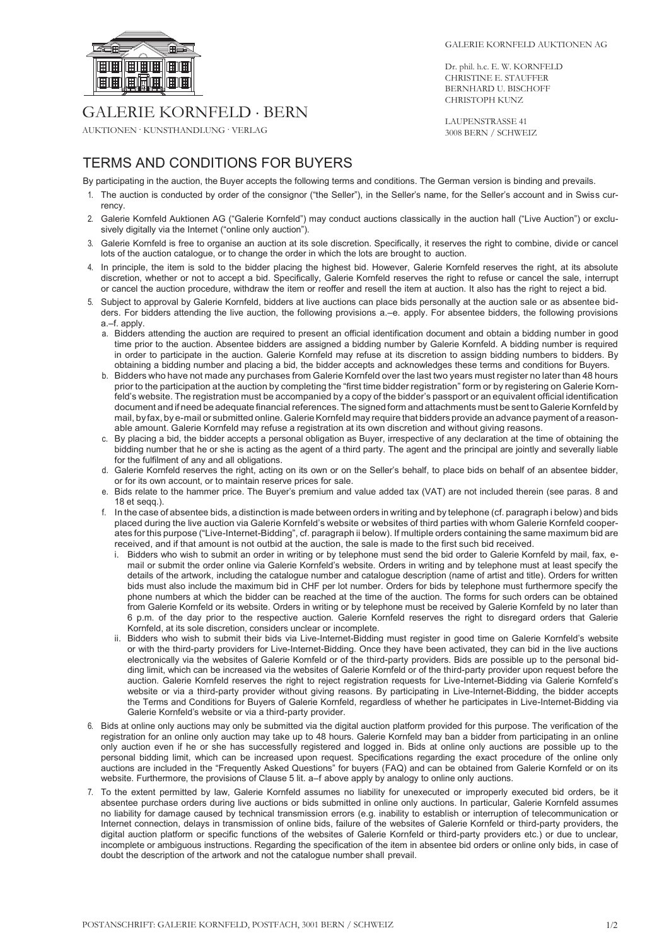

## GALERIE KORNFELD . BERN

AUKTIONEN . KUNSTHANDLUNG . VERLAG

Dr. phil. h.c. E. W. KORNFELD CHRISTINE E. STAUFFER BERNHARD U. BISCHOFF CHRISTOPH KUNZ

LAUPENSTRASSE 41 3008 BERN / SCHWEIZ

## TERMS AND CONDITIONS FOR BUYERS

By participating in the auction, the Buyer accepts the following terms and conditions. The German version is binding and prevails.

- 1. The auction is conducted by order of the consignor ("the Seller"), in the Seller's name, for the Seller's account and in Swiss currency.
- 2. Galerie Kornfeld Auktionen AG ("Galerie Kornfeld") may conduct auctions classically in the auction hall ("Live Auction") or exclusively digitally via the Internet ("online only auction").
- 3. Galerie Kornfeld is free to organise an auction at its sole discretion. Specifically, it reserves the right to combine, divide or cancel lots of the auction catalogue, or to change the order in which the lots are brought to auction.
- 4. In principle, the item is sold to the bidder placing the highest bid. However, Galerie Kornfeld reserves the right, at its absolute discretion, whether or not to accept a bid. Specifically, Galerie Kornfeld reserves the right to refuse or cancel the sale, interrupt or cancel the auction procedure, withdraw the item or reoffer and resell the item at auction. It also has the right to reject a bid.
- 5. Subject to approval by Galerie Kornfeld, bidders at live auctions can place bids personally at the auction sale or as absentee bidders. For bidders attending the live auction, the following provisions a.–e. apply. For absentee bidders, the following provisions a.–f. apply.
	- a. Bidders attending the auction are required to present an official identification document and obtain a bidding number in good time prior to the auction. Absentee bidders are assigned a bidding number by Galerie Kornfeld. A bidding number is required in order to participate in the auction. Galerie Kornfeld may refuse at its discretion to assign bidding numbers to bidders. By obtaining a bidding number and placing a bid, the bidder accepts and acknowledges these terms and conditions for Buyers.
	- b. Bidders who have not made any purchases from Galerie Kornfeld over the last two years must register no later than 48 hours prior to the participation at the auction by completing the "first time bidder registration" form or by registering on Galerie Kornfeld's website. The registration must be accompanied by a copy of the bidder's passport or an equivalent official identification document and if need be adequate financial references. The signed form and attachments must be sent to Galerie Kornfeld by mail, by fax, by e-mail or submitted online. Galerie Kornfeld may require that bidders provide an advance payment of a reasonable amount. Galerie Kornfeld may refuse a registration at its own discretion and without giving reasons.
	- c. By placing a bid, the bidder accepts a personal obligation as Buyer, irrespective of any declaration at the time of obtaining the bidding number that he or she is acting as the agent of a third party. The agent and the principal are jointly and severally liable for the fulfilment of any and all obligations.
	- d. Galerie Kornfeld reserves the right, acting on its own or on the Seller's behalf, to place bids on behalf of an absentee bidder, or for its own account, or to maintain reserve prices for sale.
	- e. Bids relate to the hammer price. The Buyer's premium and value added tax (VAT) are not included therein (see paras. 8 and 18 et seqq.).
	- f. In the case of absentee bids, a distinction is made between orders in writing and by telephone (cf. paragraph i below) and bids placed during the live auction via Galerie Kornfeld's website or websites of third parties with whom Galerie Kornfeld cooperates for this purpose ("Live-Internet-Bidding", cf. paragraph ii below). If multiple orders containing the same maximum bid are received, and if that amount is not outbid at the auction, the sale is made to the first such bid received.
		- i. Bidders who wish to submit an order in writing or by telephone must send the bid order to Galerie Kornfeld by mail, fax, email or submit the order online via Galerie Kornfeld's website. Orders in writing and by telephone must at least specify the details of the artwork, including the catalogue number and catalogue description (name of artist and title). Orders for written bids must also include the maximum bid in CHF per lot number. Orders for bids by telephone must furthermore specify the phone numbers at which the bidder can be reached at the time of the auction. The forms for such orders can be obtained from Galerie Kornfeld or its website. Orders in writing or by telephone must be received by Galerie Kornfeld by no later than 6 p.m. of the day prior to the respective auction. Galerie Kornfeld reserves the right to disregard orders that Galerie Kornfeld, at its sole discretion, considers unclear or incomplete.
		- ii. Bidders who wish to submit their bids via Live-Internet-Bidding must register in good time on Galerie Kornfeld's website or with the third-party providers for Live-Internet-Bidding. Once they have been activated, they can bid in the live auctions electronically via the websites of Galerie Kornfeld or of the third-party providers. Bids are possible up to the personal bidding limit, which can be increased via the websites of Galerie Kornfeld or of the third-party provider upon request before the auction. Galerie Kornfeld reserves the right to reject registration requests for Live-Internet-Bidding via Galerie Kornfeld's website or via a third-party provider without giving reasons. By participating in Live-Internet-Bidding, the bidder accepts the Terms and Conditions for Buyers of Galerie Kornfeld, regardless of whether he participates in Live-Internet-Bidding via Galerie Kornfeld's website or via a third-party provider.
- 6. Bids at online only auctions may only be submitted via the digital auction platform provided for this purpose. The verification of the registration for an online only auction may take up to 48 hours. Galerie Kornfeld may ban a bidder from participating in an online only auction even if he or she has successfully registered and logged in. Bids at online only auctions are possible up to the personal bidding limit, which can be increased upon request. Specifications regarding the exact procedure of the online only auctions are included in the "Frequently Asked Questions" for buyers (FAQ) and can be obtained from Galerie Kornfeld or on its website. Furthermore, the provisions of Clause 5 lit. a–f above apply by analogy to online only auctions.
- 7. To the extent permitted by law, Galerie Kornfeld assumes no liability for unexecuted or improperly executed bid orders, be it absentee purchase orders during live auctions or bids submitted in online only auctions. In particular, Galerie Kornfeld assumes no liability for damage caused by technical transmission errors (e.g. inability to establish or interruption of telecommunication or Internet connection, delays in transmission of online bids, failure of the websites of Galerie Kornfeld or third-party providers, the digital auction platform or specific functions of the websites of Galerie Kornfeld or third-party providers etc.) or due to unclear, incomplete or ambiguous instructions. Regarding the specification of the item in absentee bid orders or online only bids, in case of doubt the description of the artwork and not the catalogue number shall prevail.